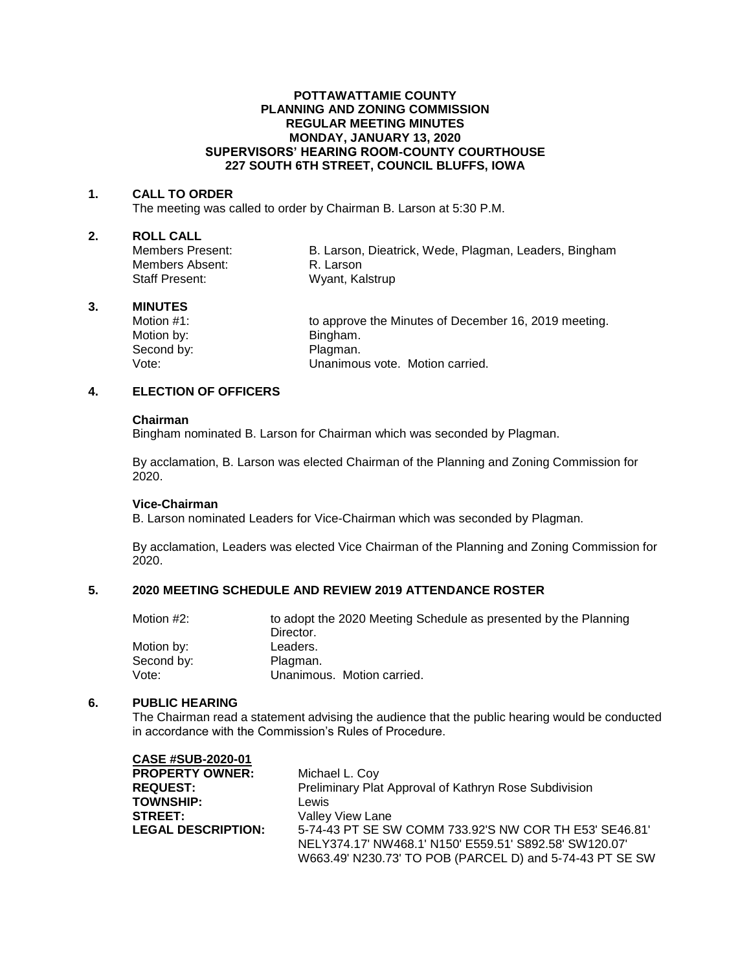### **POTTAWATTAMIE COUNTY PLANNING AND ZONING COMMISSION REGULAR MEETING MINUTES MONDAY, JANUARY 13, 2020 SUPERVISORS' HEARING ROOM-COUNTY COURTHOUSE 227 SOUTH 6TH STREET, COUNCIL BLUFFS, IOWA**

### **1. CALL TO ORDER**

The meeting was called to order by Chairman B. Larson at 5:30 P.M.

# **2. ROLL CALL**

Members Absent: R. Larson Staff Present: Wyant, Kalstrup

B. Larson, Dieatrick, Wede, Plagman, Leaders, Bingham

### **3. MINUTES**

Motion by: Bingham. Second by: Plagman.

Motion #1: to approve the Minutes of December 16, 2019 meeting. Vote: Unanimous vote. Motion carried.

# **4. ELECTION OF OFFICERS**

#### **Chairman**

Bingham nominated B. Larson for Chairman which was seconded by Plagman.

By acclamation, B. Larson was elected Chairman of the Planning and Zoning Commission for 2020.

# **Vice-Chairman**

B. Larson nominated Leaders for Vice-Chairman which was seconded by Plagman.

By acclamation, Leaders was elected Vice Chairman of the Planning and Zoning Commission for 2020.

# **5. 2020 MEETING SCHEDULE AND REVIEW 2019 ATTENDANCE ROSTER**

| Motion #2: | to adopt the 2020 Meeting Schedule as presented by the Planning |
|------------|-----------------------------------------------------------------|
|            | Director.                                                       |
| Motion by: | Leaders.                                                        |
| Second by: | Plagman.                                                        |
| Vote:      | Unanimous. Motion carried.                                      |

#### **6. PUBLIC HEARING**

The Chairman read a statement advising the audience that the public hearing would be conducted in accordance with the Commission's Rules of Procedure.

| <b>CASE #SUB-2020-01</b>  |                                                          |
|---------------------------|----------------------------------------------------------|
| <b>PROPERTY OWNER:</b>    | Michael L. Coy                                           |
| <b>REQUEST:</b>           | Preliminary Plat Approval of Kathryn Rose Subdivision    |
| <b>TOWNSHIP:</b>          | Lewis                                                    |
| <b>STREET:</b>            | <b>Valley View Lane</b>                                  |
| <b>LEGAL DESCRIPTION:</b> | 5-74-43 PT SE SW COMM 733.92'S NW COR TH E53' SE46.81'   |
|                           | NELY374.17' NW468.1' N150' E559.51' S892.58' SW120.07'   |
|                           | W663.49' N230.73' TO POB (PARCEL D) and 5-74-43 PT SE SW |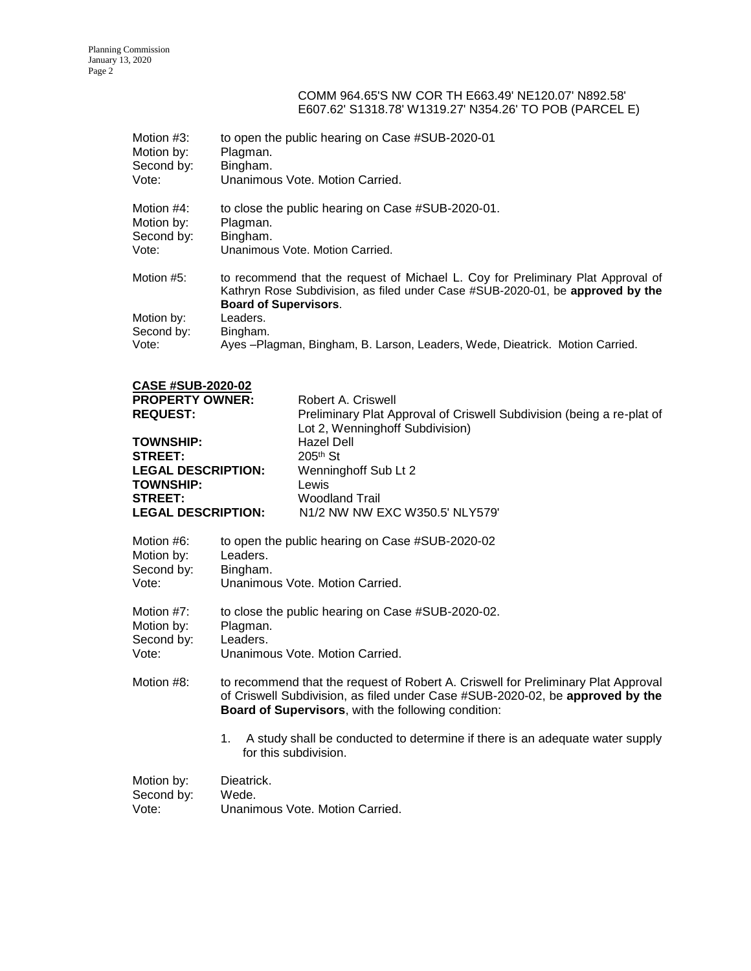## COMM 964.65'S NW COR TH E663.49' NE120.07' N892.58' E607.62' S1318.78' W1319.27' N354.26' TO POB (PARCEL E)

| Motion #3:<br>Motion by:<br>Second by:<br>Vote: | to open the public hearing on Case #SUB-2020-01<br>Plagman.<br>Bingham.<br>Unanimous Vote, Motion Carried.                                                                                         |
|-------------------------------------------------|----------------------------------------------------------------------------------------------------------------------------------------------------------------------------------------------------|
| Motion #4:<br>Motion by:                        | to close the public hearing on Case #SUB-2020-01.<br>Plagman.                                                                                                                                      |
| Second by:                                      | Bingham.                                                                                                                                                                                           |
| Vote:                                           | Unanimous Vote, Motion Carried.                                                                                                                                                                    |
| Motion #5:                                      | to recommend that the request of Michael L. Coy for Preliminary Plat Approval of<br>Kathryn Rose Subdivision, as filed under Case #SUB-2020-01, be approved by the<br><b>Board of Supervisors.</b> |
| Motion by:                                      | Leaders.                                                                                                                                                                                           |
| Second by:                                      | Bingham.                                                                                                                                                                                           |
| Vote:                                           | Ayes -Plagman, Bingham, B. Larson, Leaders, Wede, Dieatrick. Motion Carried.                                                                                                                       |

| <b>CASE #SUB-2020-02</b>  |                                                                                                          |
|---------------------------|----------------------------------------------------------------------------------------------------------|
| <b>PROPERTY OWNER:</b>    | Robert A. Criswell                                                                                       |
| <b>REQUEST:</b>           | Preliminary Plat Approval of Criswell Subdivision (being a re-plat of<br>Lot 2, Wenninghoff Subdivision) |
| <b>TOWNSHIP:</b>          | Hazel Dell                                                                                               |
| <b>STREET:</b>            | $205th$ St                                                                                               |
| <b>LEGAL DESCRIPTION:</b> | Wenninghoff Sub Lt 2                                                                                     |
| <b>TOWNSHIP:</b>          | Lewis                                                                                                    |
| <b>STREET:</b>            | Woodland Trail                                                                                           |
| <b>LEGAL DESCRIPTION:</b> | N <sub>1</sub> /2 NW NW EXC W <sub>350.5</sub> ' NLY <sub>579</sub> '                                    |

| Motion #6: | to open the public hearing on Case #SUB-2020-02 |
|------------|-------------------------------------------------|
| Motion by: | Leaders.                                        |
| Second by: | Bingham.                                        |
| Vote:      | Unanimous Vote, Motion Carried.                 |

| Motion #7: | to close the public hearing on Case #SUB-2020-02. |
|------------|---------------------------------------------------|
| Motion by: | Plagman.                                          |
| Second by: | Leaders.                                          |
| Vote:      | Unanimous Vote. Motion Carried.                   |

- Motion #8: to recommend that the request of Robert A. Criswell for Preliminary Plat Approval of Criswell Subdivision, as filed under Case #SUB-2020-02, be **approved by the Board of Supervisors**, with the following condition:
	- 1. A study shall be conducted to determine if there is an adequate water supply for this subdivision.

| Motion by: | Dieatrick.                      |
|------------|---------------------------------|
| Second by: | Wede.                           |
| Vote:      | Unanimous Vote, Motion Carried. |